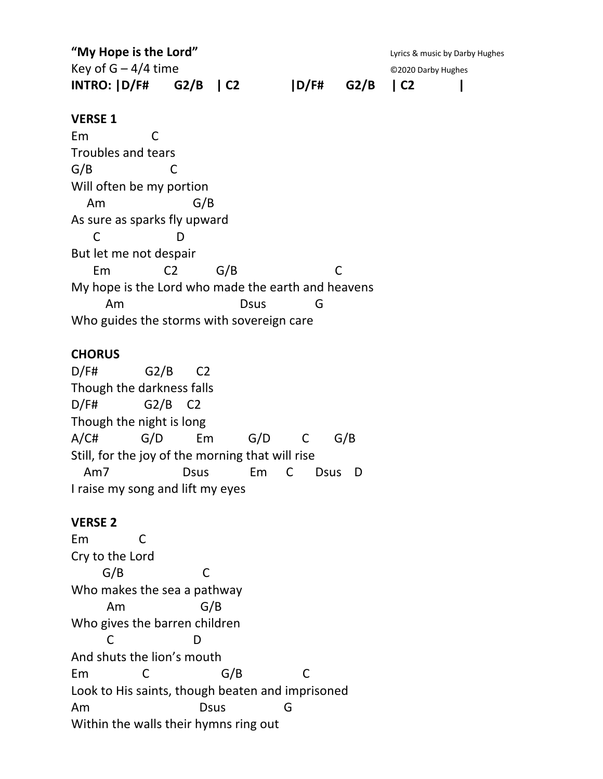**"My Hope is the Lord"** Compared the Lord of the Lord of the Lyrics & music by Darby Hughes Key of  $G - 4/4$  time  $Q$ 2020 Darby Hughes **INTRO: |D/F# G2/B | C2 |D/F# G2/B | C2 | VERSE 1** Em C Troubles and tears G/B C Will often be my portion Am G/B As sure as sparks fly upward C D But let me not despair Em C2 G/B C My hope is the Lord who made the earth and heavens Am Dsus G Who guides the storms with sovereign care

### **CHORUS**

D/F# G2/B C2 Though the darkness falls D/F# G2/B C2 Though the night is long A/C# G/D Em G/D C G/B Still, for the joy of the morning that will rise Am7 Dsus Em C Dsus D I raise my song and lift my eyes

### **VERSE 2**

Em C Cry to the Lord G/B C Who makes the sea a pathway Am G/B Who gives the barren children C D And shuts the lion's mouth Em C G/B C Look to His saints, though beaten and imprisoned Am Dsus G Within the walls their hymns ring out